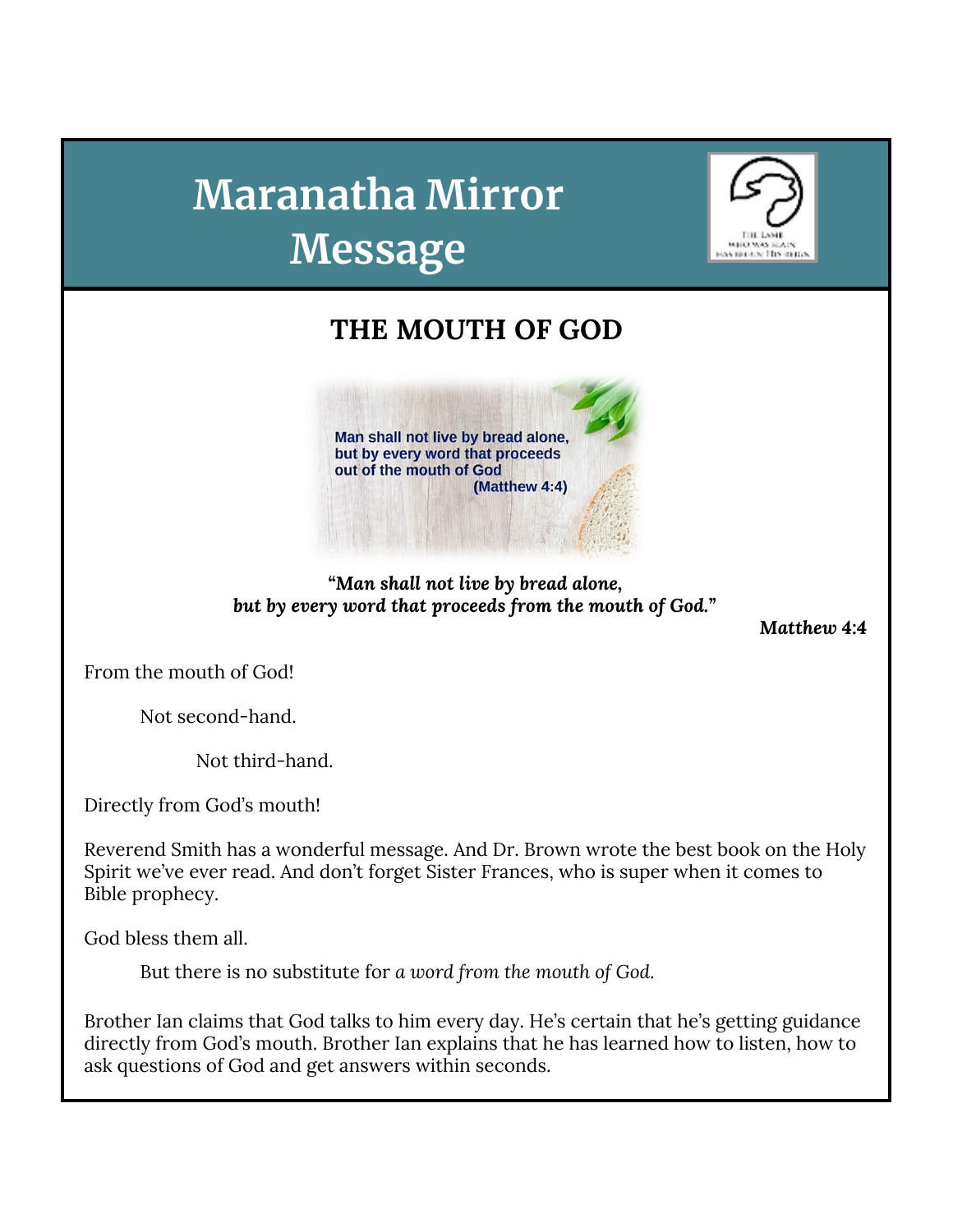# **Maranatha Mirror Message**



# **THE MOUTH OF GOD**



## *"Man shall not live by bread alone, but by every word that proceeds from the mouth of God."*

*Matthew 4:4*

From the mouth of God!

Not second-hand.

Not third-hand.

Directly from God's mouth!

Reverend Smith has a wonderful message. And Dr. Brown wrote the best book on the Holy Spirit we've ever read. And don't forget Sister Frances, who is super when it comes to Bible prophecy.

God bless them all.

But there is no substitute for *a word from the mouth of God*.

Brother Ian claims that God talks to him every day. He's certain that he's getting guidance directly from God's mouth. Brother Ian explains that he has learned how to listen, how to ask questions of God and get answers within seconds.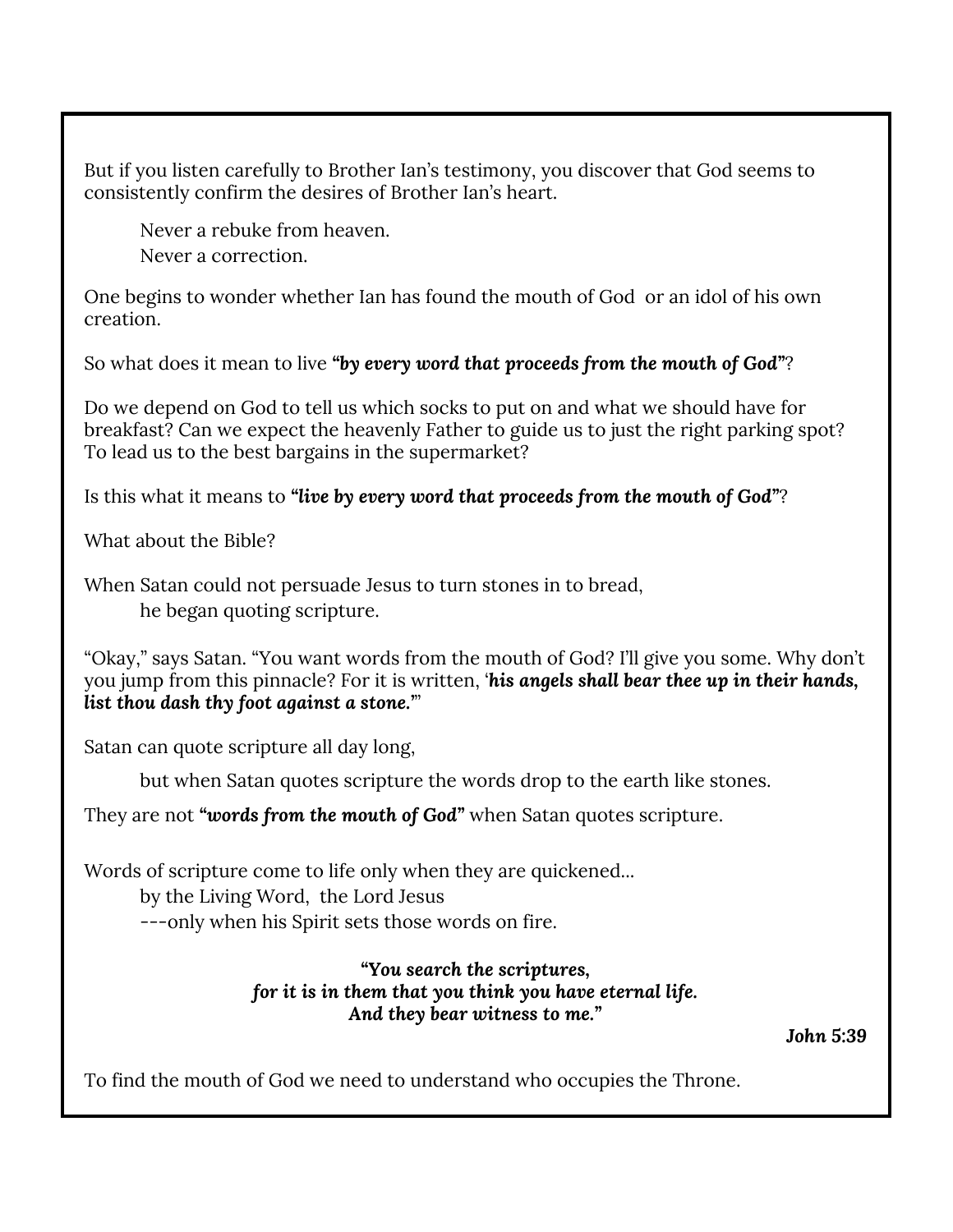But if you listen carefully to Brother Ian's testimony, you discover that God seems to consistently confirm the desires of Brother Ian's heart.

Never a rebuke from heaven. Never a correction.

One begins to wonder whether Ian has found the mouth of God or an idol of his own creation.

So what does it mean to live *"by every word that proceeds from the mouth of God"*?

Do we depend on God to tell us which socks to put on and what we should have for breakfast? Can we expect the heavenly Father to guide us to just the right parking spot? To lead us to the best bargains in the supermarket?

Is this what it means to *"live by every word that proceeds from the mouth of God"*?

What about the Bible?

When Satan could not persuade Jesus to turn stones in to bread, he began quoting scripture.

"Okay," says Satan. "You want words from the mouth of God? I'll give you some. Why don't you jump from this pinnacle? For it is written, '*his angels shall bear thee up in their hands, list thou dash thy foot against a stone.'*"

Satan can quote scripture all day long,

but when Satan quotes scripture the words drop to the earth like stones.

They are not *"words from the mouth of God"* when Satan quotes scripture.

Words of scripture come to life only when they are quickened...

by the Living Word, the Lord Jesus

---only when his Spirit sets those words on fire.

#### *"You search the scriptures, for it is in them that you think you have eternal life. And they bear witness to me."*

*John 5:39*

To find the mouth of God we need to understand who occupies the Throne.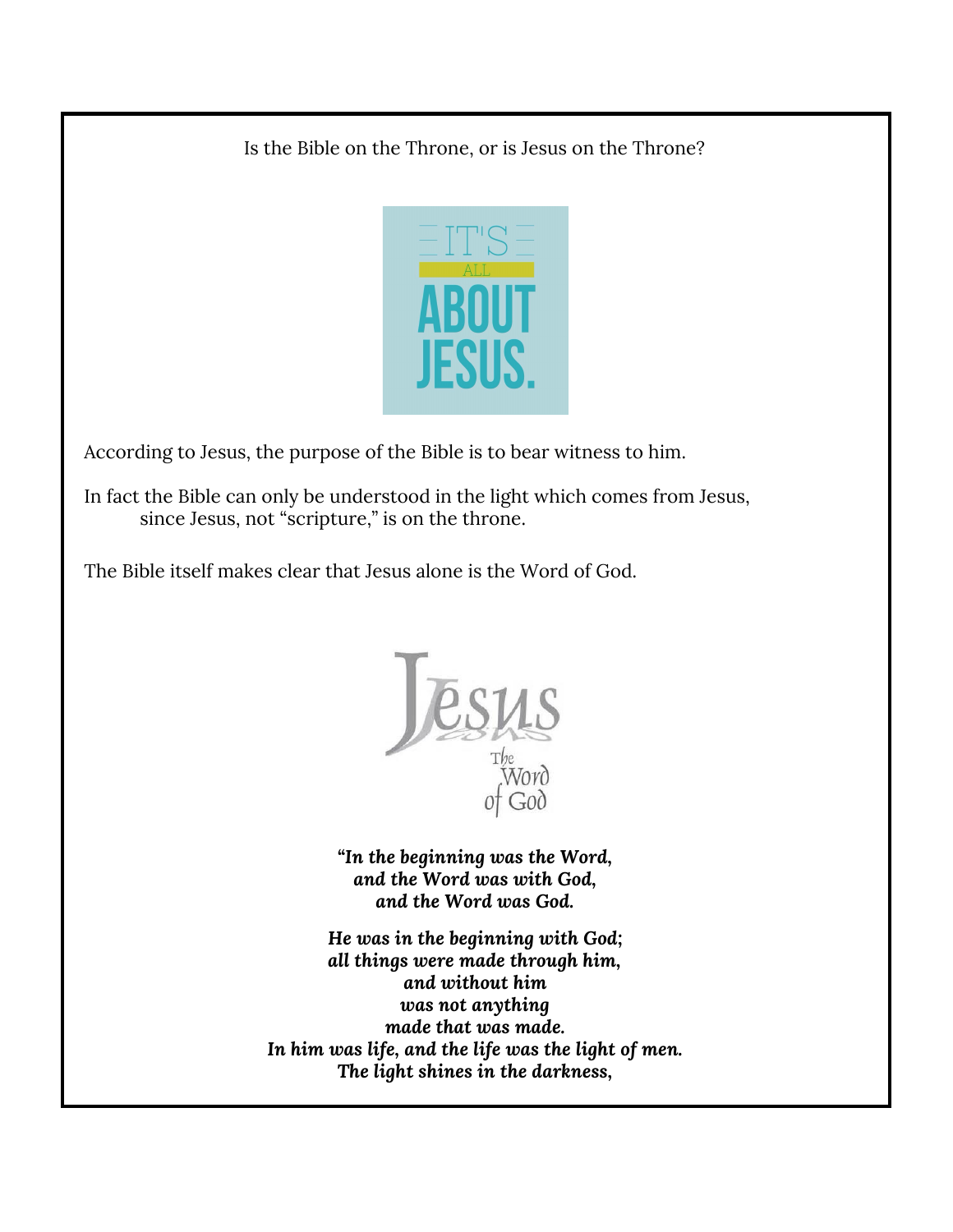Is the Bible on the Throne, or is Jesus on the Throne?



According to Jesus, the purpose of the Bible is to bear witness to him.

In fact the Bible can only be understood in the light which comes from Jesus, since Jesus, not "scripture," is on the throne.

The Bible itself makes clear that Jesus alone is the Word of God.



*"In the beginning was the Word, and the Word was with God, and the Word was God.*

*He was in the beginning with God; all things were made through him, and without him was not anything made that was made. In him was life, and the life was the light of men. The light shines in the darkness,*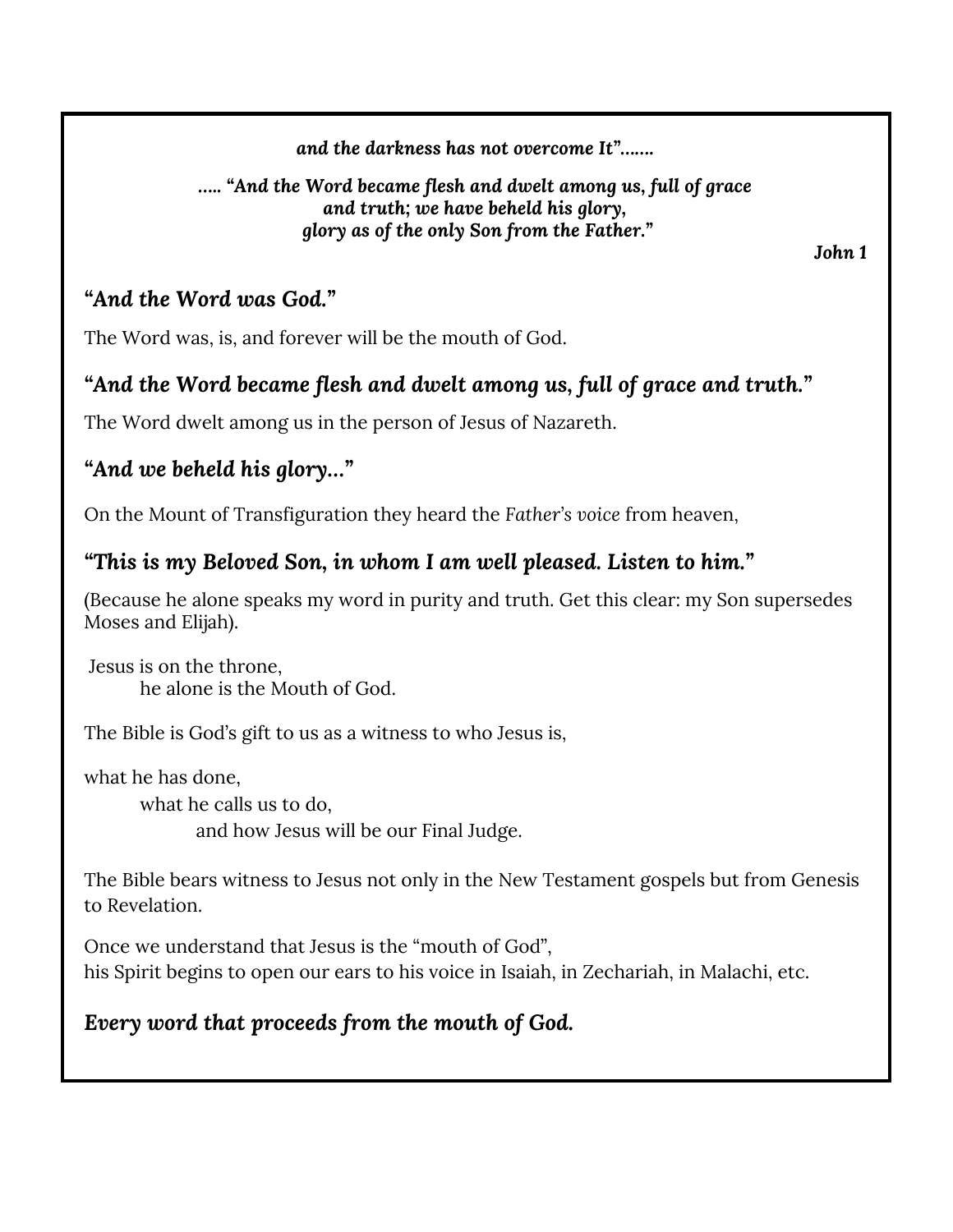*and the darkness has not overcome It"…….*

## *….. "And the Word became flesh and dwelt among us, full of grace and truth; we have beheld his glory, glory as of the only Son from the Father."*

*John 1*

## *"And the Word was God."*

The Word was, is, and forever will be the mouth of God.

# *"And the Word became flesh and dwelt among us, full of grace and truth."*

The Word dwelt among us in the person of Jesus of Nazareth.

# *"And we beheld his glory…"*

On the Mount of Transfiguration they heard the *Father's voice* from heaven,

## *"This is my Beloved Son, in whom I am well pleased. Listen to him."*

(Because he alone speaks my word in purity and truth. Get this clear: my Son supersedes Moses and Elijah).

Jesus is on the throne, he alone is the Mouth of God.

The Bible is God's gift to us as a witness to who Jesus is,

what he has done, what he calls us to do,

and how Jesus will be our Final Judge.

The Bible bears witness to Jesus not only in the New Testament gospels but from Genesis to Revelation.

Once we understand that Jesus is the "mouth of God", his Spirit begins to open our ears to his voice in Isaiah, in Zechariah, in Malachi, etc.

# *Every word that proceeds from the mouth of God.*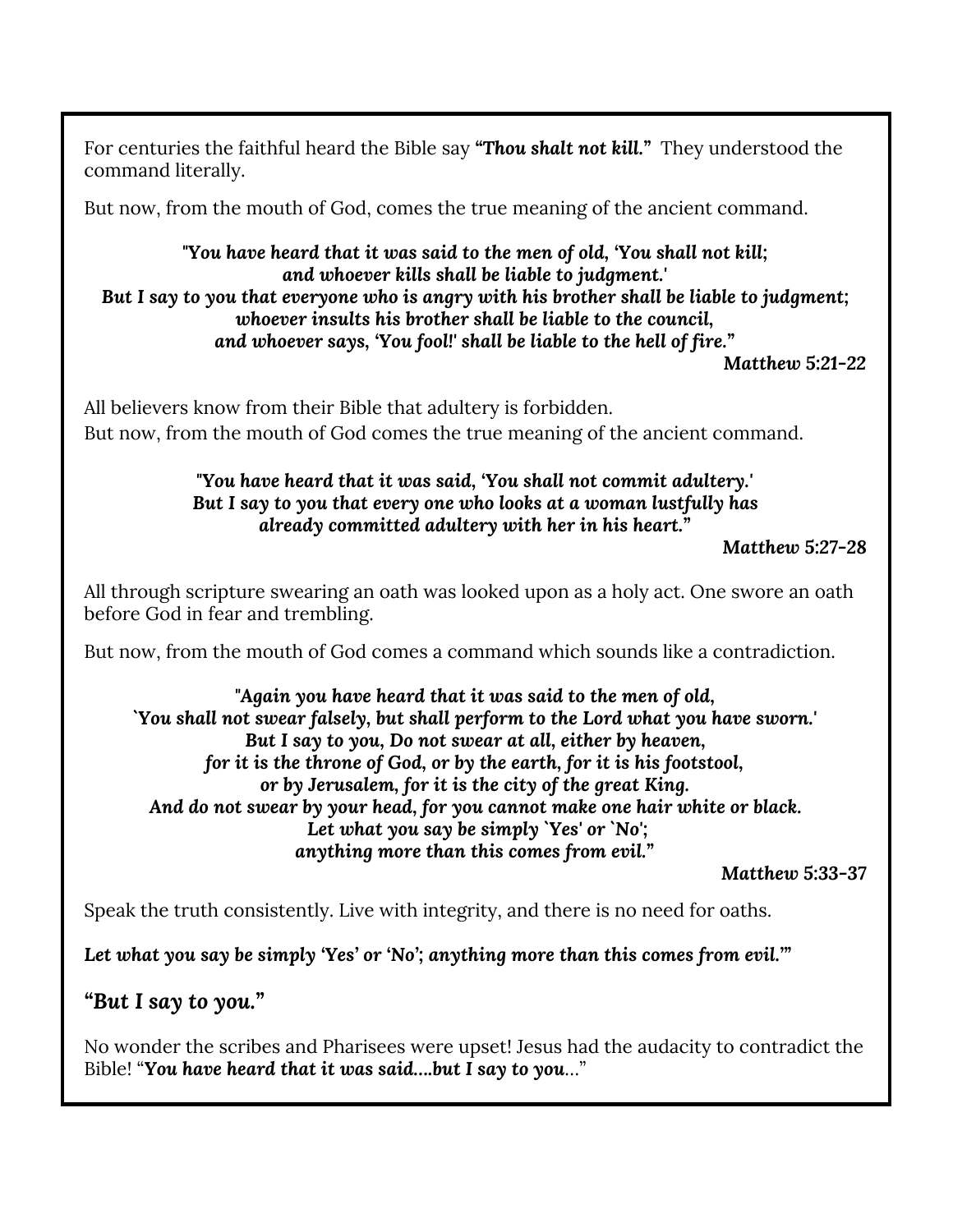For centuries the faithful heard the Bible say *"Thou shalt not kill."* They understood the command literally.

But now, from the mouth of God, comes the true meaning of the ancient command.

### *"You have heard that it was said to the men of old, 'You shall not kill; and whoever kills shall be liable to judgment.' But I say to you that everyone who is angry with his brother shall be liable to judgment; whoever insults his brother shall be liable to the council, and whoever says, 'You fool!' shall be liable to the hell of fire."*

*Matthew 5:21-22*

All believers know from their Bible that adultery is forbidden. But now, from the mouth of God comes the true meaning of the ancient command.

### *"You have heard that it was said, 'You shall not commit adultery.' But I say to you that every one who looks at a woman lustfully has already committed adultery with her in his heart."*

*Matthew 5:27-28*

All through scripture swearing an oath was looked upon as a holy act. One swore an oath before God in fear and trembling.

But now, from the mouth of God comes a command which sounds like a contradiction.

#### *"Again you have heard that it was said to the men of old, `You shall not swear falsely, but shall perform to the Lord what you have sworn.' But I say to you, Do not swear at all, either by heaven, for it is the throne of God, or by the earth, for it is his footstool, or by Jerusalem, for it is the city of the great King. And do not swear by your head, for you cannot make one hair white or black. Let what you say be simply `Yes' or `No'; anything more than this comes from evil."*

*Matthew 5:33-37*

Speak the truth consistently. Live with integrity, and there is no need for oaths.

*Let what you say be simply 'Yes' or 'No'; anything more than this comes from evil.'"*

## *"But I say to you."*

No wonder the scribes and Pharisees were upset! Jesus had the audacity to contradict the Bible! "*You have heard that it was said….but I say to you*…"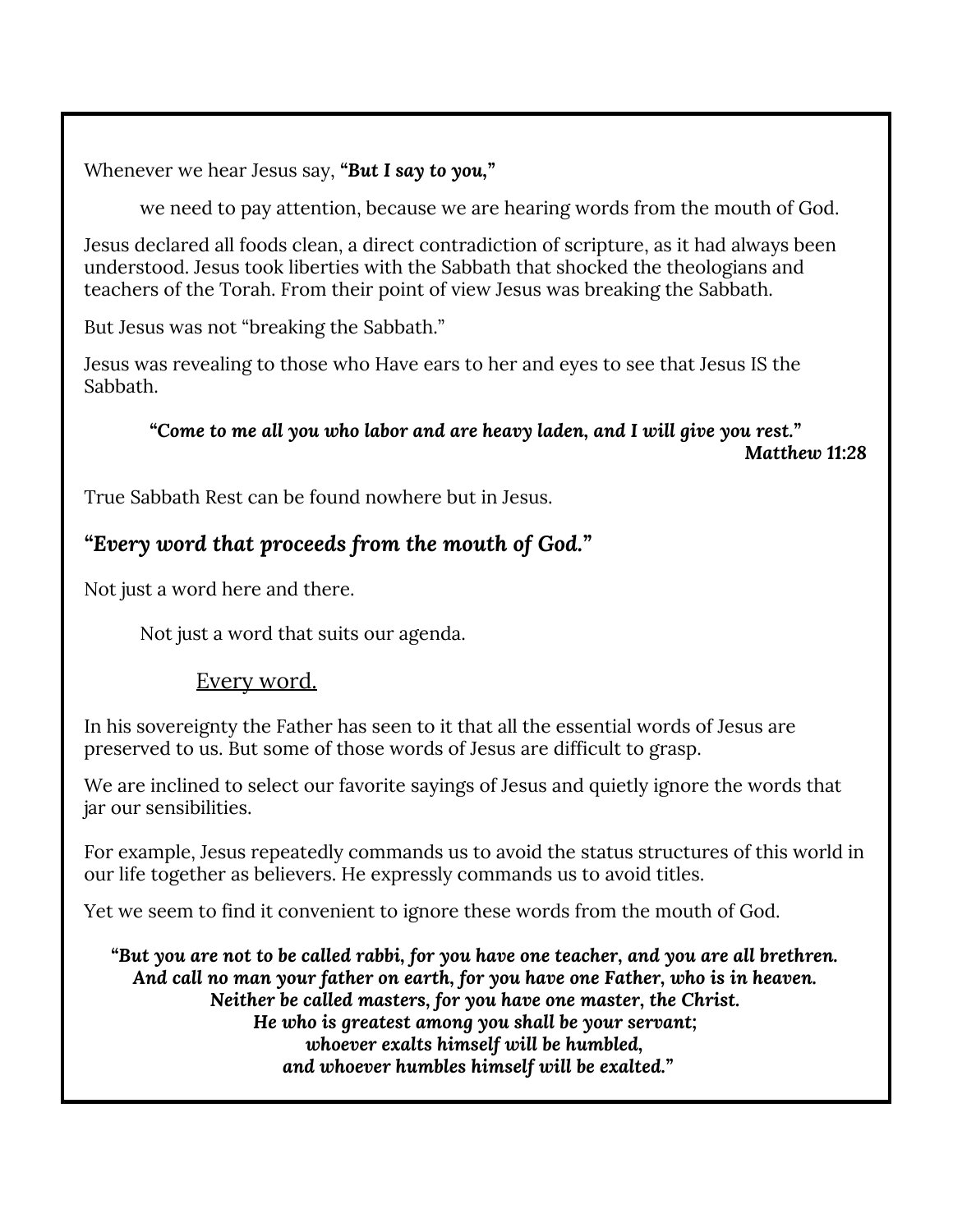Whenever we hear Jesus say, *"But I say to you,"*

we need to pay attention, because we are hearing words from the mouth of God.

Jesus declared all foods clean, a direct contradiction of scripture, as it had always been understood. Jesus took liberties with the Sabbath that shocked the theologians and teachers of the Torah. From their point of view Jesus was breaking the Sabbath.

But Jesus was not "breaking the Sabbath."

Jesus was revealing to those who Have ears to her and eyes to see that Jesus IS the Sabbath.

*"Come to me all you who labor and are heavy laden, and I will give you rest." Matthew 11:28*

True Sabbath Rest can be found nowhere but in Jesus.

## *"Every word that proceeds from the mouth of God."*

Not just a word here and there.

Not just a word that suits our agenda.

## Every word.

In his sovereignty the Father has seen to it that all the essential words of Jesus are preserved to us. But some of those words of Jesus are difficult to grasp.

We are inclined to select our favorite sayings of Jesus and quietly ignore the words that jar our sensibilities.

For example, Jesus repeatedly commands us to avoid the status structures of this world in our life together as believers. He expressly commands us to avoid titles.

Yet we seem to find it convenient to ignore these words from the mouth of God.

*"But you are not to be called rabbi, for you have one teacher, and you are all brethren. And call no man your father on earth, for you have one Father, who is in heaven. Neither be called masters, for you have one master, the Christ. He who is greatest among you shall be your servant; whoever exalts himself will be humbled, and whoever humbles himself will be exalted."*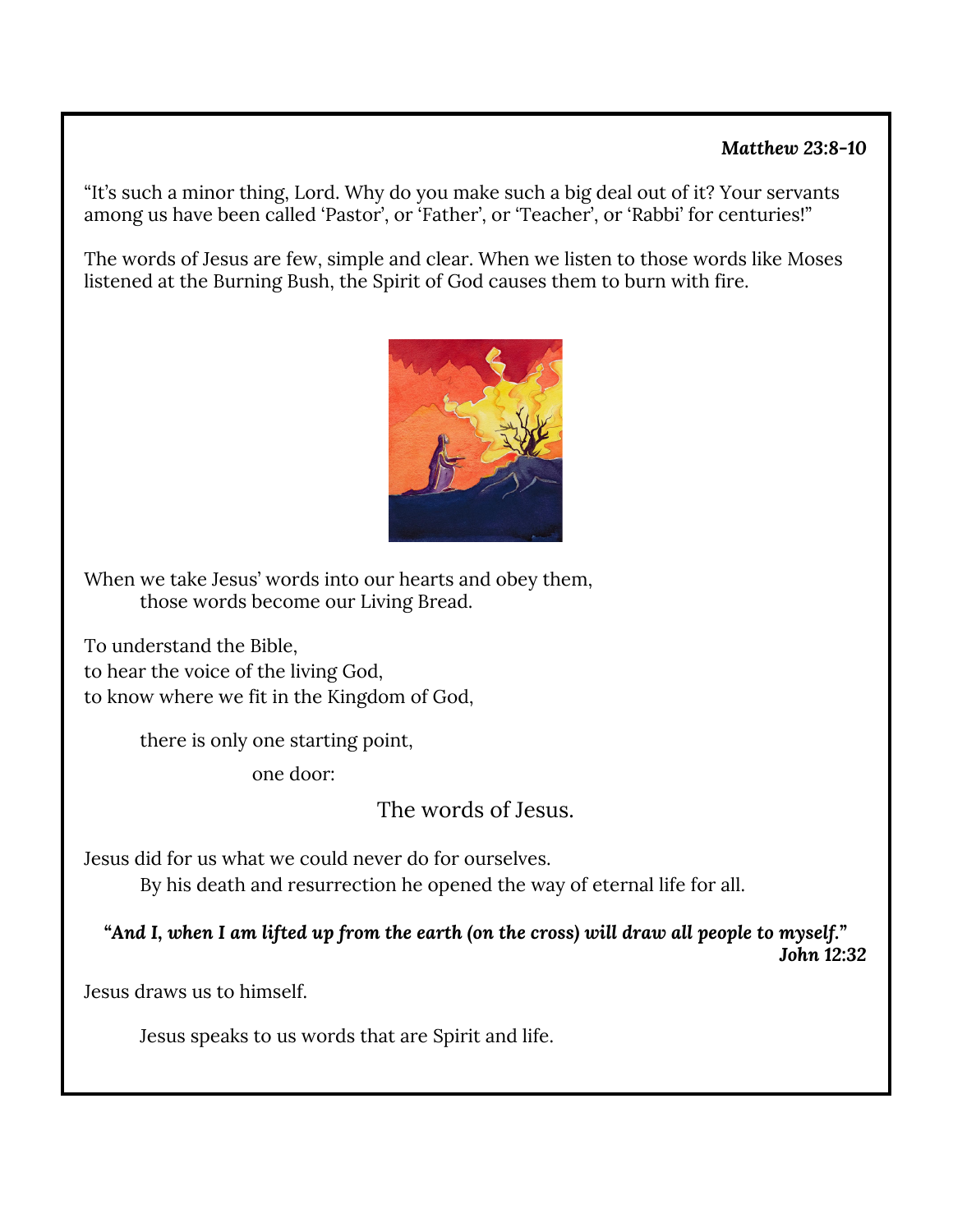## *Matthew 23:8-10*

"It's such a minor thing, Lord. Why do you make such a big deal out of it? Your servants among us have been called 'Pastor', or 'Father', or 'Teacher', or 'Rabbi' for centuries!"

The words of Jesus are few, simple and clear. When we listen to those words like Moses listened at the Burning Bush, the Spirit of God causes them to burn with fire.



When we take Jesus' words into our hearts and obey them, those words become our Living Bread.

To understand the Bible, to hear the voice of the living God, to know where we fit in the Kingdom of God,

there is only one starting point,

one door:

The words of Jesus.

Jesus did for us what we could never do for ourselves.

By his death and resurrection he opened the way of eternal life for all.

*"And I, when I am lifted up from the earth (on the cross) will draw all people to myself."*

*John 12:32*

Jesus draws us to himself.

Jesus speaks to us words that are Spirit and life.